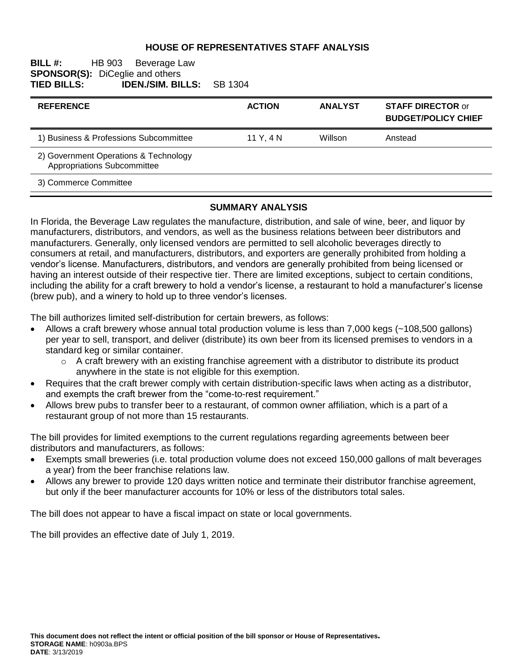## **HOUSE OF REPRESENTATIVES STAFF ANALYSIS**

#### **BILL #:** HB 903 Beverage Law **SPONSOR(S):** DiCeglie and others<br>**TIED BILLS: IDEN./SIM. BI TIED BILLS: IDEN./SIM. BILLS:** SB 1304

| <b>REFERENCE</b>                                                     | <b>ACTION</b> | <b>ANALYST</b> | <b>STAFF DIRECTOR or</b><br><b>BUDGET/POLICY CHIEF</b> |
|----------------------------------------------------------------------|---------------|----------------|--------------------------------------------------------|
| 1) Business & Professions Subcommittee                               | 11 Y.4 N      | Willson        | Anstead                                                |
| 2) Government Operations & Technology<br>Appropriations Subcommittee |               |                |                                                        |
| 3) Commerce Committee                                                |               |                |                                                        |

#### **SUMMARY ANALYSIS**

In Florida, the Beverage Law regulates the manufacture, distribution, and sale of wine, beer, and liquor by manufacturers, distributors, and vendors, as well as the business relations between beer distributors and manufacturers. Generally, only licensed vendors are permitted to sell alcoholic beverages directly to consumers at retail, and manufacturers, distributors, and exporters are generally prohibited from holding a vendor's license. Manufacturers, distributors, and vendors are generally prohibited from being licensed or having an interest outside of their respective tier. There are limited exceptions, subject to certain conditions, including the ability for a craft brewery to hold a vendor's license, a restaurant to hold a manufacturer's license (brew pub), and a winery to hold up to three vendor's licenses.

The bill authorizes limited self-distribution for certain brewers, as follows:

- Allows a craft brewery whose annual total production volume is less than 7,000 kegs (~108,500 gallons) per year to sell, transport, and deliver (distribute) its own beer from its licensed premises to vendors in a standard keg or similar container.
	- $\circ$  A craft brewery with an existing franchise agreement with a distributor to distribute its product anywhere in the state is not eligible for this exemption.
- Requires that the craft brewer comply with certain distribution-specific laws when acting as a distributor, and exempts the craft brewer from the "come-to-rest requirement."
- Allows brew pubs to transfer beer to a restaurant, of common owner affiliation, which is a part of a restaurant group of not more than 15 restaurants.

The bill provides for limited exemptions to the current regulations regarding agreements between beer distributors and manufacturers, as follows:

- Exempts small breweries (i.e. total production volume does not exceed 150,000 gallons of malt beverages a year) from the beer franchise relations law.
- Allows any brewer to provide 120 days written notice and terminate their distributor franchise agreement, but only if the beer manufacturer accounts for 10% or less of the distributors total sales.

The bill does not appear to have a fiscal impact on state or local governments.

The bill provides an effective date of July 1, 2019.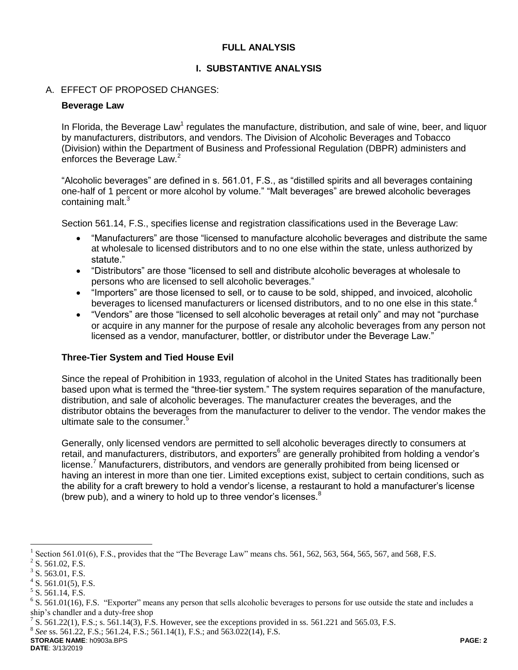# **FULL ANALYSIS**

## **I. SUBSTANTIVE ANALYSIS**

## A. EFFECT OF PROPOSED CHANGES:

#### **Beverage Law**

In Florida, the Beverage Law<sup>1</sup> regulates the manufacture, distribution, and sale of wine, beer, and liquor by manufacturers, distributors, and vendors. The Division of Alcoholic Beverages and Tobacco (Division) within the Department of Business and Professional Regulation (DBPR) administers and enforces the Beverage Law.<sup>2</sup>

"Alcoholic beverages" are defined in s. 561.01, F.S., as "distilled spirits and all beverages containing one-half of 1 percent or more alcohol by volume." "Malt beverages" are brewed alcoholic beverages containing malt.<sup>3</sup>

Section 561.14, F.S., specifies license and registration classifications used in the Beverage Law:

- "Manufacturers" are those "licensed to manufacture alcoholic beverages and distribute the same at wholesale to licensed distributors and to no one else within the state, unless authorized by statute."
- "Distributors" are those "licensed to sell and distribute alcoholic beverages at wholesale to persons who are licensed to sell alcoholic beverages."
- "Importers" are those licensed to sell, or to cause to be sold, shipped, and invoiced, alcoholic beverages to licensed manufacturers or licensed distributors, and to no one else in this state.<sup>4</sup>
- "Vendors" are those "licensed to sell alcoholic beverages at retail only" and may not "purchase or acquire in any manner for the purpose of resale any alcoholic beverages from any person not licensed as a vendor, manufacturer, bottler, or distributor under the Beverage Law."

# **Three-Tier System and Tied House Evil**

Since the repeal of Prohibition in 1933, regulation of alcohol in the United States has traditionally been based upon what is termed the "three-tier system." The system requires separation of the manufacture, distribution, and sale of alcoholic beverages. The manufacturer creates the beverages, and the distributor obtains the beverages from the manufacturer to deliver to the vendor. The vendor makes the ultimate sale to the consumer.<sup>5</sup>

Generally, only licensed vendors are permitted to sell alcoholic beverages directly to consumers at retail, and manufacturers, distributors, and exporters<sup>6</sup> are generally prohibited from holding a vendor's license.<sup>7</sup> Manufacturers, distributors, and vendors are generally prohibited from being licensed or having an interest in more than one tier. Limited exceptions exist, subject to certain conditions, such as the ability for a craft brewery to hold a vendor's license, a restaurant to hold a manufacturer's license (brew pub), and a winery to hold up to three vendor's licenses. $8$ 

 $\overline{a}$ 

8 *See* ss. 561.22, F.S.; 561.24, F.S.; 561.14(1), F.S.; and 563.022(14), F.S.

**STORAGE NAME**: h0903a.BPS **PAGE: 2 DATE**: 3/13/2019

<sup>1</sup> Section 561.01(6), F.S., provides that the "The Beverage Law" means chs. 561, 562, 563, 564, 565, 567, and 568, F.S.

 $2^2$  S. 561.02, F.S.

 $3$  S. 563.01, F.S.

 $4$  S. 561.01(5), F.S.

 $<sup>5</sup>$  S. 561.14, F.S.</sup>

 $6$  S. 561.01(16), F.S. "Exporter" means any person that sells alcoholic beverages to persons for use outside the state and includes a ship's chandler and a duty-free shop

<sup>&</sup>lt;sup>7</sup> S. 561.22(1), F.S.; s. 561.14(3), F.S. However, see the exceptions provided in ss. 561.221 and 565.03, F.S.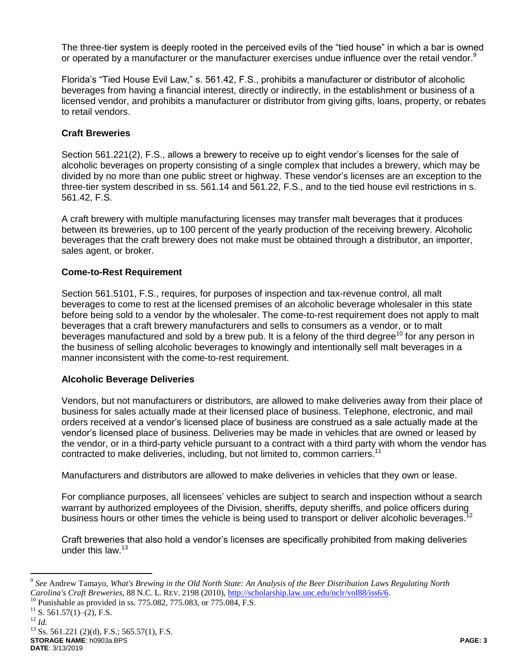The three-tier system is deeply rooted in the perceived evils of the "tied house" in which a bar is owned or operated by a manufacturer or the manufacturer exercises undue influence over the retail vendor.<sup>9</sup>

Florida's "Tied House Evil Law," s. 561.42, F.S., prohibits a manufacturer or distributor of alcoholic beverages from having a financial interest, directly or indirectly, in the establishment or business of a licensed vendor, and prohibits a manufacturer or distributor from giving gifts, loans, property, or rebates to retail vendors.

# **Craft Breweries**

Section 561.221(2), F.S., allows a brewery to receive up to eight vendor's licenses for the sale of alcoholic beverages on property consisting of a single complex that includes a brewery, which may be divided by no more than one public street or highway. These vendor's licenses are an exception to the three-tier system described in ss. 561.14 and 561.22, F.S., and to the tied house evil restrictions in s. 561.42, F.S.

A craft brewery with multiple manufacturing licenses may transfer malt beverages that it produces between its breweries, up to 100 percent of the yearly production of the receiving brewery. Alcoholic beverages that the craft brewery does not make must be obtained through a distributor, an importer, sales agent, or broker.

## **Come-to-Rest Requirement**

Section 561.5101, F.S., requires, for purposes of inspection and tax-revenue control, all malt beverages to come to rest at the licensed premises of an alcoholic beverage wholesaler in this state before being sold to a vendor by the wholesaler. The come-to-rest requirement does not apply to malt beverages that a craft brewery manufacturers and sells to consumers as a vendor, or to malt beverages manufactured and sold by a brew pub. It is a felony of the third degree<sup>10</sup> for any person in the business of selling alcoholic beverages to knowingly and intentionally sell malt beverages in a manner inconsistent with the come-to-rest requirement.

#### **Alcoholic Beverage Deliveries**

Vendors, but not manufacturers or distributors, are allowed to make deliveries away from their place of business for sales actually made at their licensed place of business. Telephone, electronic, and mail orders received at a vendor's licensed place of business are construed as a sale actually made at the vendor's licensed place of business. Deliveries may be made in vehicles that are owned or leased by the vendor, or in a third-party vehicle pursuant to a contract with a third party with whom the vendor has contracted to make deliveries, including, but not limited to, common carriers.<sup>11</sup>

Manufacturers and distributors are allowed to make deliveries in vehicles that they own or lease.

For compliance purposes, all licensees' vehicles are subject to search and inspection without a search warrant by authorized employees of the Division, sheriffs, deputy sheriffs, and police officers during<br>business bours at other times the vehicle is being used to transport at deliver alsoholic beverages <sup>12</sup> business hours or other times the vehicle is being used to transport or deliver alcoholic beverages.

Craft breweries that also hold a vendor's licenses are specifically prohibited from making deliveries under this law.<sup>13</sup>

 $\overline{a}$ 

**STORAGE NAME**: h0903a.BPS **PAGE: 3 DATE**: 3/13/2019  $^{13}$  Ss. 561.221 (2)(d), F.S.; 565.57(1), F.S.

<sup>9</sup> *See* Andrew Tamayo, *What's Brewing in the Old North State: An Analysis of the Beer Distribution Laws Regulating North Carolina's Craft Breweries*, 88 N.C. L. REV. 2198 (2010), [http://scholarship.law.unc.edu/nclr/vol88/iss6/6.](http://scholarship.law.unc.edu/nclr/vol88/iss6/6)

<sup>&</sup>lt;sup>10</sup> Punishable as provided in ss. 775.082, 775.083, or 775.084, F.S.

 $^{11}$  S. 561.57(1)–(2), F.S.

<sup>12</sup> *Id.*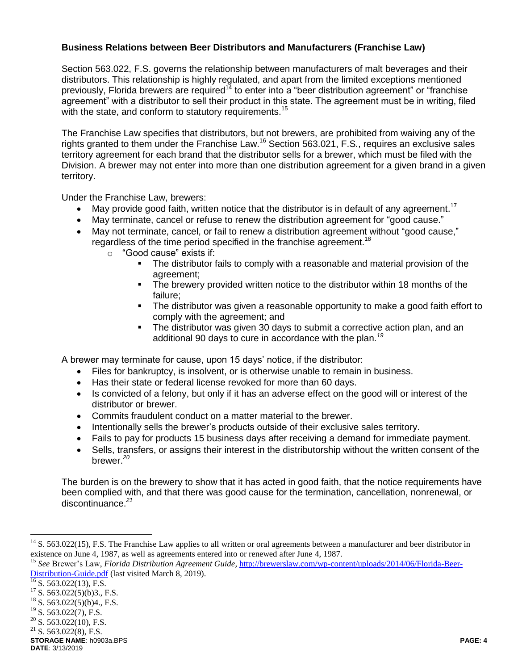# **Business Relations between Beer Distributors and Manufacturers (Franchise Law)**

Section 563.022, F.S. governs the relationship between manufacturers of malt beverages and their distributors. This relationship is highly regulated, and apart from the limited exceptions mentioned previously, Florida brewers are required<sup>14</sup> to enter into a "beer distribution agreement" or "franchise agreement" with a distributor to sell their product in this state. The agreement must be in writing, filed with the state, and conform to statutory requirements.<sup>15</sup>

The Franchise Law specifies that distributors, but not brewers, are prohibited from waiving any of the rights granted to them under the Franchise Law.<sup>16</sup> Section 563.021, F.S., requires an exclusive sales territory agreement for each brand that the distributor sells for a brewer, which must be filed with the Division. A brewer may not enter into more than one distribution agreement for a given brand in a given territory.

Under the Franchise Law, brewers:

- May provide good faith, written notice that the distributor is in default of any agreement.<sup>17</sup>
- May terminate, cancel or refuse to renew the distribution agreement for "good cause."
- May not terminate, cancel, or fail to renew a distribution agreement without "good cause," regardless of the time period specified in the franchise agreement.<sup>18</sup>
	- o "Good cause" exists if:
		- The distributor fails to comply with a reasonable and material provision of the agreement;
		- The brewery provided written notice to the distributor within 18 months of the failure;
		- **The distributor was given a reasonable opportunity to make a good faith effort to** comply with the agreement; and
		- The distributor was given 30 days to submit a corrective action plan, and an additional 90 days to cure in accordance with the plan.*<sup>19</sup>*

A brewer may terminate for cause, upon 15 days' notice, if the distributor:

- Files for bankruptcy, is insolvent, or is otherwise unable to remain in business.
- Has their state or federal license revoked for more than 60 days.
- Is convicted of a felony, but only if it has an adverse effect on the good will or interest of the distributor or brewer.
- Commits fraudulent conduct on a matter material to the brewer.
- Intentionally sells the brewer's products outside of their exclusive sales territory.
- Fails to pay for products 15 business days after receiving a demand for immediate payment.
- Sells, transfers, or assigns their interest in the distributorship without the written consent of the brewer. *20*

The burden is on the brewery to show that it has acted in good faith, that the notice requirements have been complied with, and that there was good cause for the termination, cancellation, nonrenewal, or discontinuance.*<sup>21</sup>*

 $\overline{a}$ 

 $14$  S. 563.022(15), F.S. The Franchise Law applies to all written or oral agreements between a manufacturer and beer distributor in existence on June 4, 1987, as well as agreements entered into or renewed after June 4, 1987.

<sup>15</sup> *See* Brewer's Law, *Florida Distribution Agreement Guide,* [http://brewerslaw.com/wp-content/uploads/2014/06/Florida-Beer-](http://brewerslaw.com/wp-content/uploads/2014/06/Florida-Beer-Distribution-Guide.pdf)[Distribution-Guide.pdf](http://brewerslaw.com/wp-content/uploads/2014/06/Florida-Beer-Distribution-Guide.pdf) (last visited March 8, 2019).

 $\frac{16}{16}$  S. 563.022(13), F.S.

 $17$  S. 563.022(5)(b)3., F.S.

<sup>&</sup>lt;sup>18</sup> S. 563.022(5)(b)4., F.S.<br><sup>19</sup> S. 563.022(7), F.S.

S. 563.022(7), F.S.

 $20$  S. 563.022(10), F.S.

 $21$  S. 563.022(8), F.S.

**STORAGE NAME**: h0903a.BPS **PAGE: 4**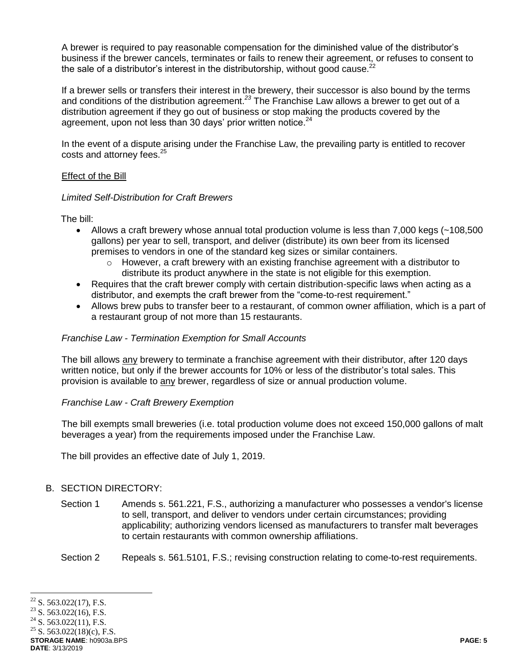A brewer is required to pay reasonable compensation for the diminished value of the distributor's business if the brewer cancels, terminates or fails to renew their agreement, or refuses to consent to the sale of a distributor's interest in the distributorship, without good cause. $^{22}$ 

If a brewer sells or transfers their interest in the brewery, their successor is also bound by the terms and conditions of the distribution agreement.*<sup>23</sup>* The Franchise Law allows a brewer to get out of a distribution agreement if they go out of business or stop making the products covered by the agreement, upon not less than 30 days' prior written notice.<sup>24</sup>

In the event of a dispute arising under the Franchise Law, the prevailing party is entitled to recover costs and attorney fees.<sup>25</sup>

## Effect of the Bill

## *Limited Self-Distribution for Craft Brewers*

The bill:

- Allows a craft brewery whose annual total production volume is less than 7,000 kegs (~108,500 gallons) per year to sell, transport, and deliver (distribute) its own beer from its licensed premises to vendors in one of the standard keg sizes or similar containers.
	- $\circ$  However, a craft brewery with an existing franchise agreement with a distributor to distribute its product anywhere in the state is not eligible for this exemption.
- Requires that the craft brewer comply with certain distribution-specific laws when acting as a distributor, and exempts the craft brewer from the "come-to-rest requirement."
- Allows brew pubs to transfer beer to a restaurant, of common owner affiliation, which is a part of a restaurant group of not more than 15 restaurants.

#### *Franchise Law - Termination Exemption for Small Accounts*

The bill allows any brewery to terminate a franchise agreement with their distributor, after 120 days written notice, but only if the brewer accounts for 10% or less of the distributor's total sales. This provision is available to any brewer, regardless of size or annual production volume.

# *Franchise Law - Craft Brewery Exemption*

The bill exempts small breweries (i.e. total production volume does not exceed 150,000 gallons of malt beverages a year) from the requirements imposed under the Franchise Law.

The bill provides an effective date of July 1, 2019.

# B. SECTION DIRECTORY:

- Section 1 Amends s. 561.221, F.S., authorizing a manufacturer who possesses a vendor's license to sell, transport, and deliver to vendors under certain circumstances; providing applicability; authorizing vendors licensed as manufacturers to transfer malt beverages to certain restaurants with common ownership affiliations.
- Section 2 Repeals s. 561.5101, F.S.; revising construction relating to come-to-rest requirements.

 $\overline{a}$ <sup>22</sup> S. 563.022(17), F.S.<br><sup>23</sup> S. 563.022(16), F.S.

<sup>&</sup>lt;sup>23</sup> S. 563.022(16), F.S.<br><sup>24</sup> S. 563.022(11), F.S.

S. 563.022(11), F.S.

<sup>&</sup>lt;sup>25</sup> S. 563.022(18)(c), F.S.

**STORAGE NAME**: h0903a.BPS **PAGE: 5 DATE**: 3/13/2019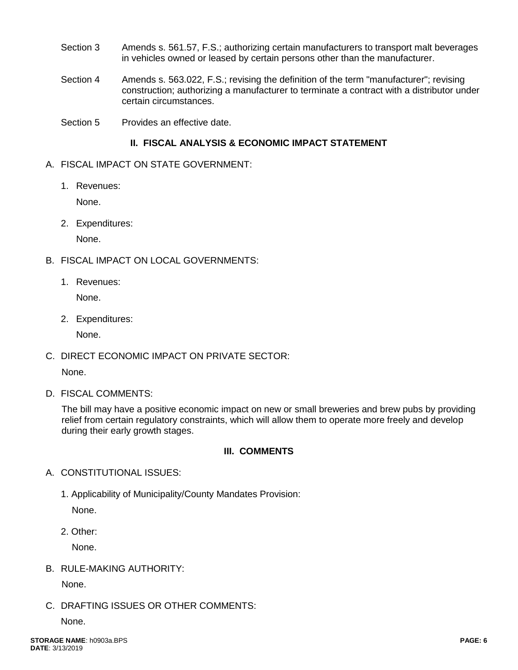- Section 3 Amends s. 561.57, F.S.; authorizing certain manufacturers to transport malt beverages in vehicles owned or leased by certain persons other than the manufacturer.
- Section 4 Amends s. 563.022, F.S.; revising the definition of the term "manufacturer"; revising construction; authorizing a manufacturer to terminate a contract with a distributor under certain circumstances.
- Section 5 Provides an effective date.

# **II. FISCAL ANALYSIS & ECONOMIC IMPACT STATEMENT**

- A. FISCAL IMPACT ON STATE GOVERNMENT:
	- 1. Revenues:

None.

2. Expenditures:

None.

- B. FISCAL IMPACT ON LOCAL GOVERNMENTS:
	- 1. Revenues:

None.

2. Expenditures:

None.

C. DIRECT ECONOMIC IMPACT ON PRIVATE SECTOR:

None.

D. FISCAL COMMENTS:

The bill may have a positive economic impact on new or small breweries and brew pubs by providing relief from certain regulatory constraints, which will allow them to operate more freely and develop during their early growth stages.

# **III. COMMENTS**

- A. CONSTITUTIONAL ISSUES:
	- 1. Applicability of Municipality/County Mandates Provision: None.

2. Other:

None.

B. RULE-MAKING AUTHORITY:

None.

C. DRAFTING ISSUES OR OTHER COMMENTS:

None.